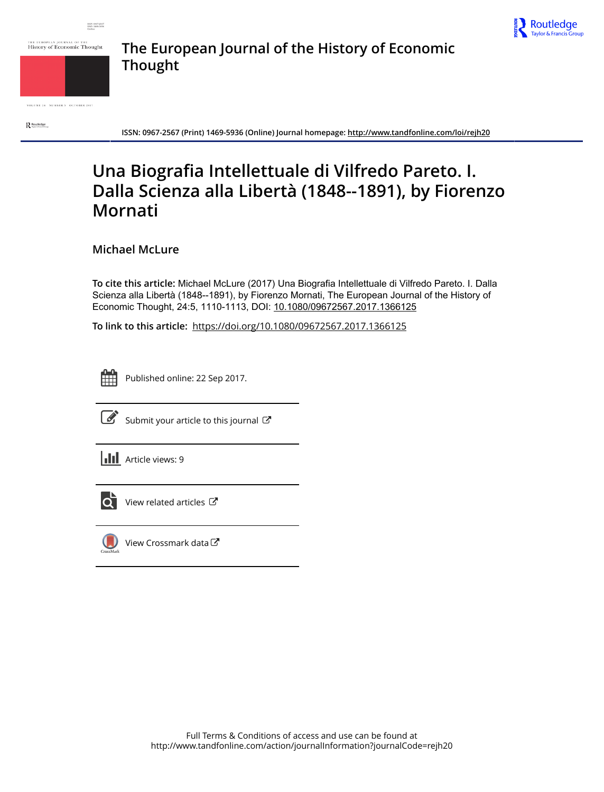



THE EUROPEAN JOURNAL OF THE<br>History of Economic Thought



VOLUME 24 NUMBER 5 OCTOBER 2017

Routledge

**ISSN: 0967-2567 (Print) 1469-5936 (Online) Journal homepage:<http://www.tandfonline.com/loi/rejh20>**

**The European Journal of the History of Economic**

## **Una Biografia Intellettuale di Vilfredo Pareto. I. Dalla Scienza alla Libertà (1848--1891), by Fiorenzo Mornati**

**Michael McLure**

**Thought**

**To cite this article:** Michael McLure (2017) Una Biografia Intellettuale di Vilfredo Pareto. I. Dalla Scienza alla Libertà (1848--1891), by Fiorenzo Mornati, The European Journal of the History of Economic Thought, 24:5, 1110-1113, DOI: [10.1080/09672567.2017.1366125](http://www.tandfonline.com/action/showCitFormats?doi=10.1080/09672567.2017.1366125)

**To link to this article:** <https://doi.org/10.1080/09672567.2017.1366125>



Published online: 22 Sep 2017.



 $\mathbb{Z}$  [Submit your article to this journal](http://www.tandfonline.com/action/authorSubmission?journalCode=rejh20&show=instructions)  $\mathbb{Z}$ 





 $\overline{\mathbf{Q}}$  [View related articles](http://www.tandfonline.com/doi/mlt/10.1080/09672567.2017.1366125)  $\mathbf{C}$ 



[View Crossmark data](http://crossmark.crossref.org/dialog/?doi=10.1080/09672567.2017.1366125&domain=pdf&date_stamp=2017-09-22) $G$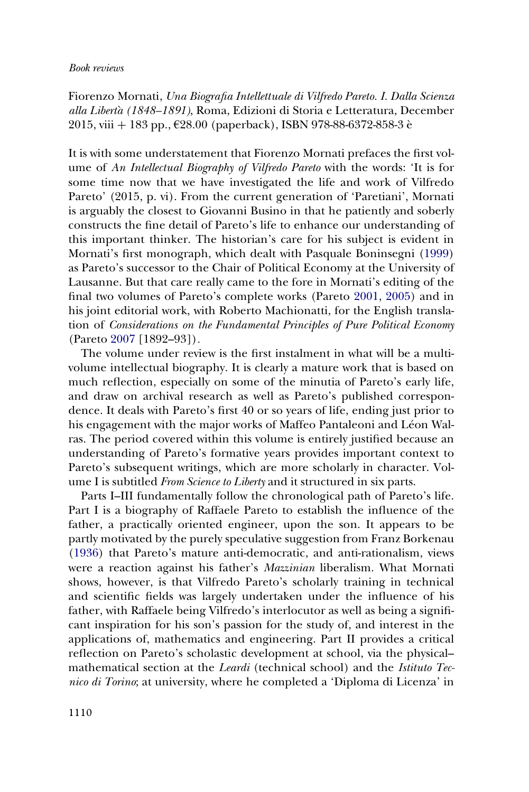## Book reviews

Fiorenzo Mornati, Una Biografia Intellettuale di Vilfredo Pareto. I. Dalla Scienza alla Libertà (1848–1891), Roma, Edizioni di Storia e Letteratura, December  $2015$ , viii  $+183$  pp.,  $628.00$  (paperback), ISBN 978-88-6372-858-3 è

It is with some understatement that Fiorenzo Mornati prefaces the first volume of An Intellectual Biography of Vilfredo Pareto with the words: 'It is for some time now that we have investigated the life and work of Vilfredo Pareto' (2015, p. vi). From the current generation of 'Paretiani', Mornati is arguably the closest to Giovanni Busino in that he patiently and soberly constructs the fine detail of Pareto's life to enhance our understanding of this important thinker. The historian's care for his subject is evident in Mornati's first monograph, which dealt with Pasquale Boninsegni (1999) as Pareto's successor to the Chair of Political Economy at the University of Lausanne. But that care really came to the fore in Mornati's editing of the final two volumes of Pareto's complete works (Pareto 2001, 2005) and in his joint editorial work, with Roberto Machionatti, for the English translation of Considerations on the Fundamental Principles of Pure Political Economy (Pareto 2007 [1892–93]).

The volume under review is the first instalment in what will be a multivolume intellectual biography. It is clearly a mature work that is based on much reflection, especially on some of the minutia of Pareto's early life, and draw on archival research as well as Pareto's published correspondence. It deals with Pareto's first 40 or so years of life, ending just prior to his engagement with the major works of Maffeo Pantaleoni and Léon Walras. The period covered within this volume is entirely justified because an understanding of Pareto's formative years provides important context to Pareto's subsequent writings, which are more scholarly in character. Volume I is subtitled From Science to Liberty and it structured in six parts.

Parts I–III fundamentally follow the chronological path of Pareto's life. Part I is a biography of Raffaele Pareto to establish the influence of the father, a practically oriented engineer, upon the son. It appears to be partly motivated by the purely speculative suggestion from Franz Borkenau (1936) that Pareto's mature anti-democratic, and anti-rationalism, views were a reaction against his father's *Mazzinian* liberalism. What Mornati shows, however, is that Vilfredo Pareto's scholarly training in technical and scientific fields was largely undertaken under the influence of his father, with Raffaele being Vilfredo's interlocutor as well as being a significant inspiration for his son's passion for the study of, and interest in the applications of, mathematics and engineering. Part II provides a critical reflection on Pareto's scholastic development at school, via the physical– mathematical section at the *Leardi* (technical school) and the *Istituto Tec*nico di Torino; at university, where he completed a 'Diploma di Licenza' in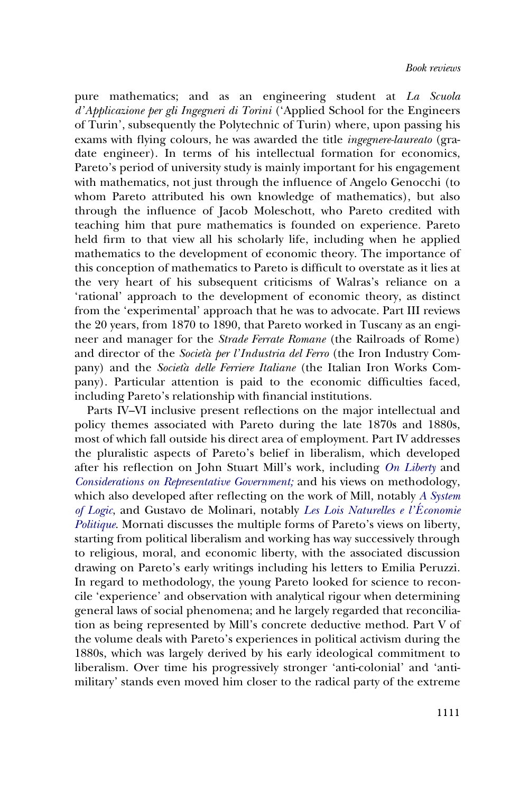pure mathematics; and as an engineering student at La Scuola d'Applicazione per gli Ingegneri di Torini ('Applied School for the Engineers of Turin', subsequently the Polytechnic of Turin) where, upon passing his exams with flying colours, he was awarded the title ingegnere-laureato (gradate engineer). In terms of his intellectual formation for economics, Pareto's period of university study is mainly important for his engagement with mathematics, not just through the influence of Angelo Genocchi (to whom Pareto attributed his own knowledge of mathematics), but also through the influence of Jacob Moleschott, who Pareto credited with teaching him that pure mathematics is founded on experience. Pareto held firm to that view all his scholarly life, including when he applied mathematics to the development of economic theory. The importance of this conception of mathematics to Pareto is difficult to overstate as it lies at the very heart of his subsequent criticisms of Walras's reliance on a 'rational' approach to the development of economic theory, as distinct from the 'experimental' approach that he was to advocate. Part III reviews the 20 years, from 1870 to 1890, that Pareto worked in Tuscany as an engineer and manager for the Strade Ferrate Romane (the Railroads of Rome) and director of the Società per l'Industria del Ferro (the Iron Industry Company) and the Società delle Ferriere Italiane (the Italian Iron Works Company). Particular attention is paid to the economic difficulties faced, including Pareto's relationship with financial institutions.

Parts IV–VI inclusive present reflections on the major intellectual and policy themes associated with Pareto during the late 1870s and 1880s, most of which fall outside his direct area of employment. Part IV addresses the pluralistic aspects of Pareto's belief in liberalism, which developed after his reflection on John Stuart Mill's work, including On Liberty and Considerations on Representative Government; and his views on methodology, which also developed after reflecting on the work of Mill, notably A System of Logic, and Gustavo de Molinari, notably Les Lois Naturelles e l'E conomie Politique. Mornati discusses the multiple forms of Pareto's views on liberty, starting from political liberalism and working has way successively through to religious, moral, and economic liberty, with the associated discussion drawing on Pareto's early writings including his letters to Emilia Peruzzi. In regard to methodology, the young Pareto looked for science to reconcile 'experience' and observation with analytical rigour when determining general laws of social phenomena; and he largely regarded that reconciliation as being represented by Mill's concrete deductive method. Part V of the volume deals with Pareto's experiences in political activism during the 1880s, which was largely derived by his early ideological commitment to liberalism. Over time his progressively stronger 'anti-colonial' and 'antimilitary' stands even moved him closer to the radical party of the extreme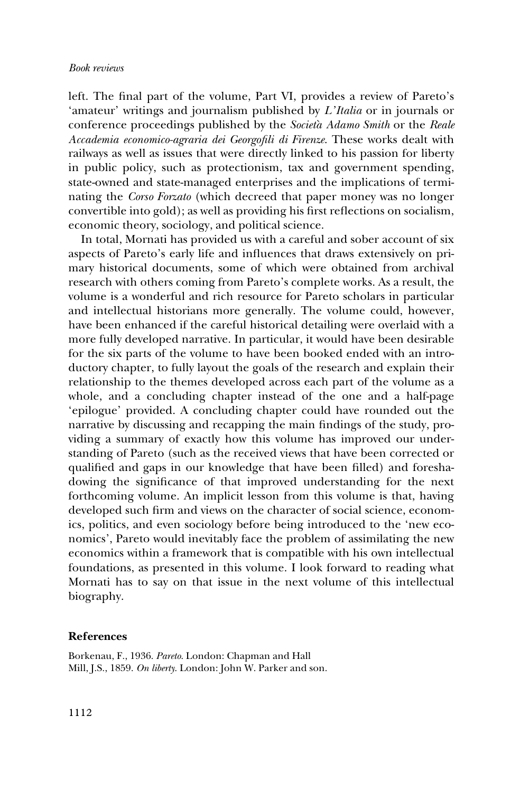## Book reviews

left. The final part of the volume, Part VI, provides a review of Pareto's 'amateur' writings and journalism published by L'Italia or in journals or conference proceedings published by the Società Adamo Smith or the Reale Accademia economico-agraria dei Georgofili di Firenze. These works dealt with railways as well as issues that were directly linked to his passion for liberty in public policy, such as protectionism, tax and government spending, state-owned and state-managed enterprises and the implications of terminating the Corso Forzato (which decreed that paper money was no longer convertible into gold); as well as providing his first reflections on socialism, economic theory, sociology, and political science.

In total, Mornati has provided us with a careful and sober account of six aspects of Pareto's early life and influences that draws extensively on primary historical documents, some of which were obtained from archival research with others coming from Pareto's complete works. As a result, the volume is a wonderful and rich resource for Pareto scholars in particular and intellectual historians more generally. The volume could, however, have been enhanced if the careful historical detailing were overlaid with a more fully developed narrative. In particular, it would have been desirable for the six parts of the volume to have been booked ended with an introductory chapter, to fully layout the goals of the research and explain their relationship to the themes developed across each part of the volume as a whole, and a concluding chapter instead of the one and a half-page 'epilogue' provided. A concluding chapter could have rounded out the narrative by discussing and recapping the main findings of the study, providing a summary of exactly how this volume has improved our understanding of Pareto (such as the received views that have been corrected or qualified and gaps in our knowledge that have been filled) and foreshadowing the significance of that improved understanding for the next forthcoming volume. An implicit lesson from this volume is that, having developed such firm and views on the character of social science, economics, politics, and even sociology before being introduced to the 'new economics', Pareto would inevitably face the problem of assimilating the new economics within a framework that is compatible with his own intellectual foundations, as presented in this volume. I look forward to reading what Mornati has to say on that issue in the next volume of this intellectual biography.

## References

Borkenau, F., 1936. Pareto. London: Chapman and Hall Mill, J.S., 1859. On liberty. London: John W. Parker and son.